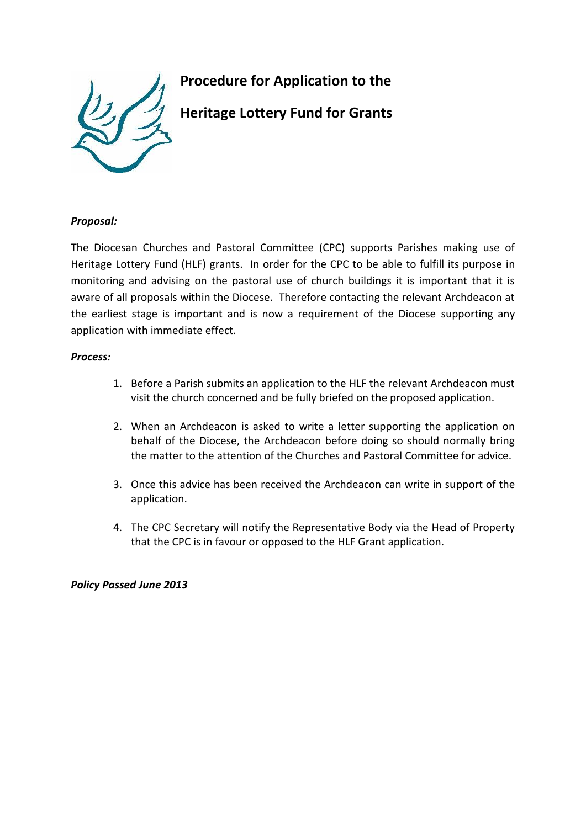

# **Procedure for Application to the**

**Heritage Lottery Fund for Grants**

### *Proposal:*

The Diocesan Churches and Pastoral Committee (CPC) supports Parishes making use of Heritage Lottery Fund (HLF) grants. In order for the CPC to be able to fulfill its purpose in monitoring and advising on the pastoral use of church buildings it is important that it is aware of all proposals within the Diocese. Therefore contacting the relevant Archdeacon at the earliest stage is important and is now a requirement of the Diocese supporting any application with immediate effect.

#### *Process:*

- 1. Before a Parish submits an application to the HLF the relevant Archdeacon must visit the church concerned and be fully briefed on the proposed application.
- 2. When an Archdeacon is asked to write a letter supporting the application on behalf of the Diocese, the Archdeacon before doing so should normally bring the matter to the attention of the Churches and Pastoral Committee for advice.
- 3. Once this advice has been received the Archdeacon can write in support of the application.
- 4. The CPC Secretary will notify the Representative Body via the Head of Property that the CPC is in favour or opposed to the HLF Grant application.

### *Policy Passed June 2013*